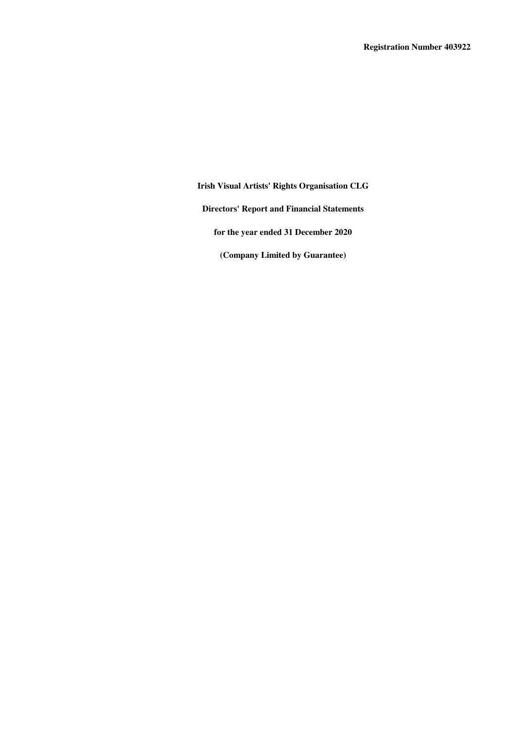**Irish Visual Artists' Rights Organisation CLG Directors' Report and Financial Statements for the year ended 31 December 2020 (Company Limited by Guarantee)**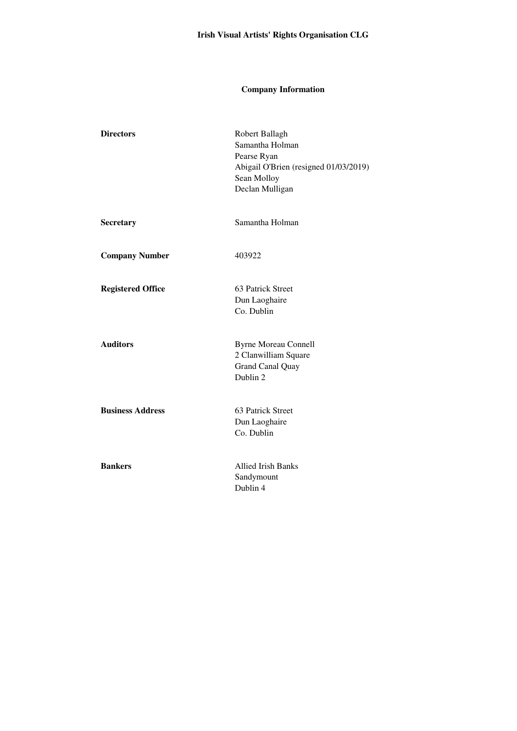# **Company Information**

| <b>Directors</b>         | Robert Ballagh<br>Samantha Holman<br>Pearse Ryan<br>Abigail O'Brien (resigned 01/03/2019)<br>Sean Molloy<br>Declan Mulligan |
|--------------------------|-----------------------------------------------------------------------------------------------------------------------------|
| <b>Secretary</b>         | Samantha Holman                                                                                                             |
| <b>Company Number</b>    | 403922                                                                                                                      |
| <b>Registered Office</b> | 63 Patrick Street<br>Dun Laoghaire<br>Co. Dublin                                                                            |
| <b>Auditors</b>          | <b>Byrne Moreau Connell</b><br>2 Clanwilliam Square<br><b>Grand Canal Quay</b><br>Dublin 2                                  |
| <b>Business Address</b>  | 63 Patrick Street<br>Dun Laoghaire<br>Co. Dublin                                                                            |
| <b>Bankers</b>           | <b>Allied Irish Banks</b><br>Sandymount<br>Dublin 4                                                                         |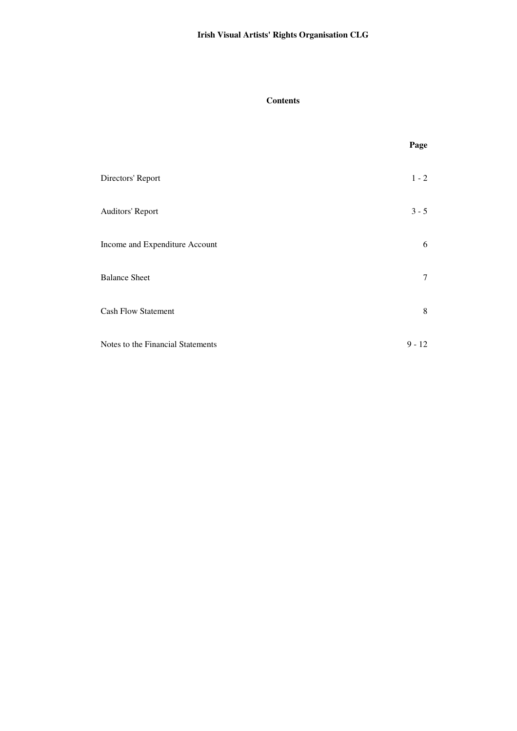# **Contents**

|                                   | Page     |
|-----------------------------------|----------|
| Directors' Report                 | $1 - 2$  |
| Auditors' Report                  | $3 - 5$  |
| Income and Expenditure Account    | 6        |
| <b>Balance Sheet</b>              | 7        |
| <b>Cash Flow Statement</b>        | 8        |
| Notes to the Financial Statements | $9 - 12$ |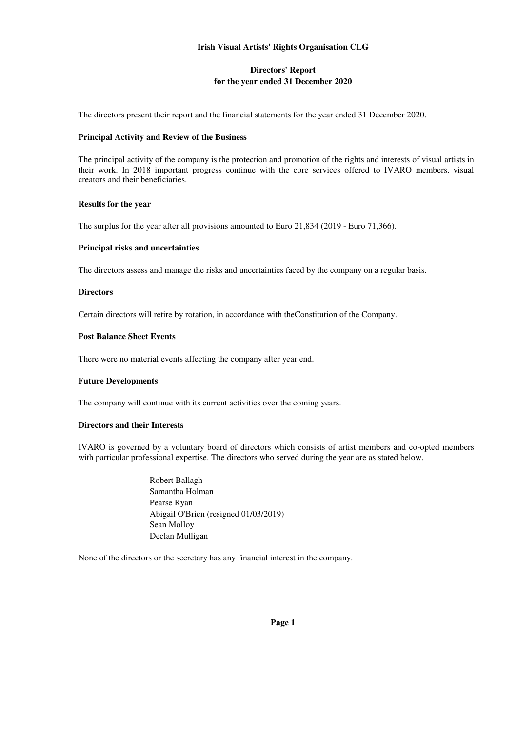## **Irish Visual Artists' Rights Organisation CLG**

## **Directors' Report for the year ended 31 December 2020**

The directors present their report and the financial statements for the year ended 31 December 2020.

### **Principal Activity and Review of the Business**

The principal activity of the company is the protection and promotion of the rights and interests of visual artists in their work. In 2018 important progress continue with the core services offered to IVARO members, visual creators and their beneficiaries.

### **Results for the year**

The surplus for the year after all provisions amounted to Euro 21,834 (2019 - Euro 71,366).

### **Principal risks and uncertainties**

The directors assess and manage the risks and uncertainties faced by the company on a regular basis.

### **Directors**

Certain directors will retire by rotation, in accordance with theConstitution of the Company.

## **Post Balance Sheet Events**

There were no material events affecting the company after year end.

#### **Future Developments**

The company will continue with its current activities over the coming years.

#### **Directors and their Interests**

IVARO is governed by a voluntary board of directors which consists of artist members and co-opted members with particular professional expertise. The directors who served during the year are as stated below.

> Robert Ballagh Samantha Holman Pearse Ryan Abigail O'Brien (resigned 01/03/2019) Sean Molloy Declan Mulligan

None of the directors or the secretary has any financial interest in the company.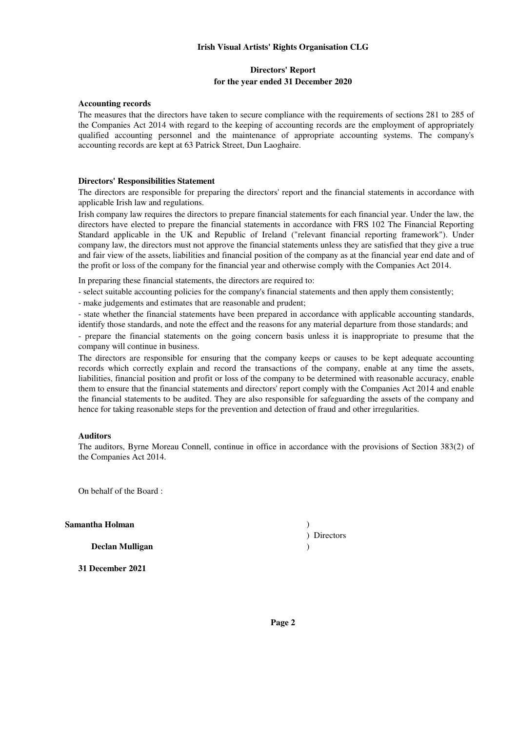### **Irish Visual Artists' Rights Organisation CLG**

## **Directors' Report for the year ended 31 December 2020**

#### **Accounting records**

The measures that the directors have taken to secure compliance with the requirements of sections 281 to 285 of the Companies Act 2014 with regard to the keeping of accounting records are the employment of appropriately qualified accounting personnel and the maintenance of appropriate accounting systems. The company's accounting records are kept at 63 Patrick Street, Dun Laoghaire.

#### **Directors' Responsibilities Statement**

The directors are responsible for preparing the directors' report and the financial statements in accordance with applicable Irish law and regulations.

Irish company law requires the directors to prepare financial statements for each financial year. Under the law, the directors have elected to prepare the financial statements in accordance with FRS 102 The Financial Reporting Standard applicable in the UK and Republic of Ireland ("relevant financial reporting framework"). Under company law, the directors must not approve the financial statements unless they are satisfied that they give a true and fair view of the assets, liabilities and financial position of the company as at the financial year end date and of the profit or loss of the company for the financial year and otherwise comply with the Companies Act 2014.

In preparing these financial statements, the directors are required to:

- select suitable accounting policies for the company's financial statements and then apply them consistently;

- make judgements and estimates that are reasonable and prudent;

- state whether the financial statements have been prepared in accordance with applicable accounting standards, identify those standards, and note the effect and the reasons for any material departure from those standards; and

- prepare the financial statements on the going concern basis unless it is inappropriate to presume that the company will continue in business.

The directors are responsible for ensuring that the company keeps or causes to be kept adequate accounting records which correctly explain and record the transactions of the company, enable at any time the assets, liabilities, financial position and profit or loss of the company to be determined with reasonable accuracy, enable them to ensure that the financial statements and directors' report comply with the Companies Act 2014 and enable the financial statements to be audited. They are also responsible for safeguarding the assets of the company and hence for taking reasonable steps for the prevention and detection of fraud and other irregularities.

#### **Auditors**

The auditors, Byrne Moreau Connell, continue in office in accordance with the provisions of Section 383(2) of the Companies Act 2014.

On behalf of the Board :

 **Samantha Holman** )

 **Declan Mulligan** )

**31 December 2021**

) Directors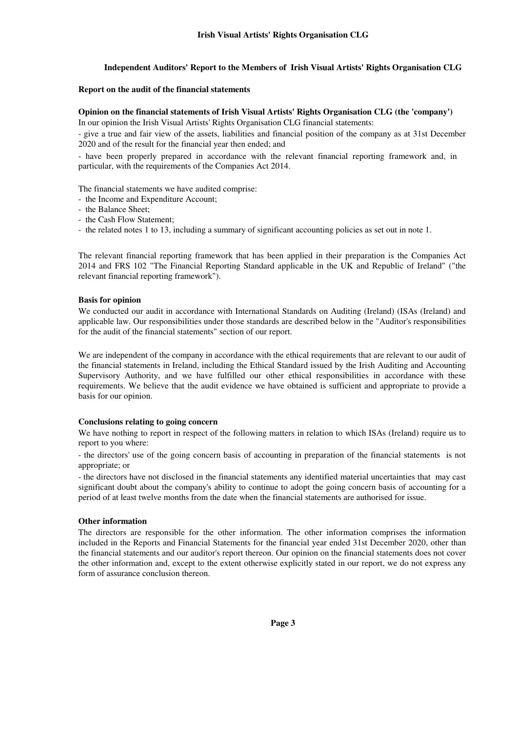## **Independent Auditors' Report to the Members of Irish Visual Artists' Rights Organisation CLG**

#### **Report on the audit of the financial statements**

## **Opinion on the financial statements of Irish Visual Artists' Rights Organisation CLG (the 'company')**

In our opinion the Irish Visual Artists' Rights Organisation CLG financial statements:

- give a true and fair view of the assets, liabilities and financial position of the company as at 31st December 2020 and of the result for the financial year then ended; and

- have been properly prepared in accordance with the relevant financial reporting framework and, in particular, with the requirements of the Companies Act 2014.

The financial statements we have audited comprise:

- the Income and Expenditure Account;

- the Balance Sheet;
- the Cash Flow Statement;
- the related notes 1 to 13, including a summary of significant accounting policies as set out in note 1.

The relevant financial reporting framework that has been applied in their preparation is the Companies Act 2014 and FRS 102 "The Financial Reporting Standard applicable in the UK and Republic of Ireland" ("the relevant financial reporting framework").

### **Basis for opinion**

We conducted our audit in accordance with International Standards on Auditing (Ireland) (ISAs (Ireland) and applicable law. Our responsibilities under those standards are described below in the "Auditor's responsibilities for the audit of the financial statements" section of our report.

We are independent of the company in accordance with the ethical requirements that are relevant to our audit of the financial statements in Ireland, including the Ethical Standard issued by the Irish Auditing and Accounting Supervisory Authority, and we have fulfilled our other ethical responsibilities in accordance with these requirements. We believe that the audit evidence we have obtained is sufficient and appropriate to provide a basis for our opinion.

### **Conclusions relating to going concern**

We have nothing to report in respect of the following matters in relation to which ISAs (Ireland) require us to report to you where:

- the directors' use of the going concern basis of accounting in preparation of the financial statements is not appropriate; or

- the directors have not disclosed in the financial statements any identified material uncertainties that may cast significant doubt about the company's ability to continue to adopt the going concern basis of accounting for a period of at least twelve months from the date when the financial statements are authorised for issue.

#### **Other information**

The directors are responsible for the other information. The other information comprises the information included in the Reports and Financial Statements for the financial year ended 31st December 2020, other than the financial statements and our auditor's report thereon. Our opinion on the financial statements does not cover the other information and, except to the extent otherwise explicitly stated in our report, we do not express any form of assurance conclusion thereon.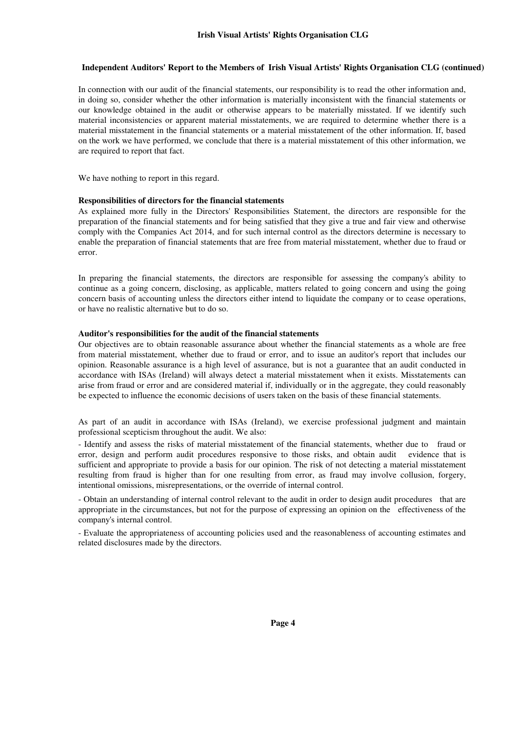#### **Independent Auditors' Report to the Members of Irish Visual Artists' Rights Organisation CLG (continued)**

In connection with our audit of the financial statements, our responsibility is to read the other information and, in doing so, consider whether the other information is materially inconsistent with the financial statements or our knowledge obtained in the audit or otherwise appears to be materially misstated. If we identify such material inconsistencies or apparent material misstatements, we are required to determine whether there is a material misstatement in the financial statements or a material misstatement of the other information. If, based on the work we have performed, we conclude that there is a material misstatement of this other information, we are required to report that fact.

We have nothing to report in this regard.

#### **Responsibilities of directors for the financial statements**

As explained more fully in the Directors' Responsibilities Statement, the directors are responsible for the preparation of the financial statements and for being satisfied that they give a true and fair view and otherwise comply with the Companies Act 2014, and for such internal control as the directors determine is necessary to enable the preparation of financial statements that are free from material misstatement, whether due to fraud or error.

In preparing the financial statements, the directors are responsible for assessing the company's ability to continue as a going concern, disclosing, as applicable, matters related to going concern and using the going concern basis of accounting unless the directors either intend to liquidate the company or to cease operations, or have no realistic alternative but to do so.

#### **Auditor's responsibilities for the audit of the financial statements**

Our objectives are to obtain reasonable assurance about whether the financial statements as a whole are free from material misstatement, whether due to fraud or error, and to issue an auditor's report that includes our opinion. Reasonable assurance is a high level of assurance, but is not a guarantee that an audit conducted in accordance with ISAs (Ireland) will always detect a material misstatement when it exists. Misstatements can arise from fraud or error and are considered material if, individually or in the aggregate, they could reasonably be expected to influence the economic decisions of users taken on the basis of these financial statements.

As part of an audit in accordance with ISAs (Ireland), we exercise professional judgment and maintain professional scepticism throughout the audit. We also:

- Identify and assess the risks of material misstatement of the financial statements, whether due to fraud or error, design and perform audit procedures responsive to those risks, and obtain audit evidence that is sufficient and appropriate to provide a basis for our opinion. The risk of not detecting a material misstatement resulting from fraud is higher than for one resulting from error, as fraud may involve collusion, forgery, intentional omissions, misrepresentations, or the override of internal control.

- Obtain an understanding of internal control relevant to the audit in order to design audit procedures that are appropriate in the circumstances, but not for the purpose of expressing an opinion on the effectiveness of the company's internal control.

- Evaluate the appropriateness of accounting policies used and the reasonableness of accounting estimates and related disclosures made by the directors.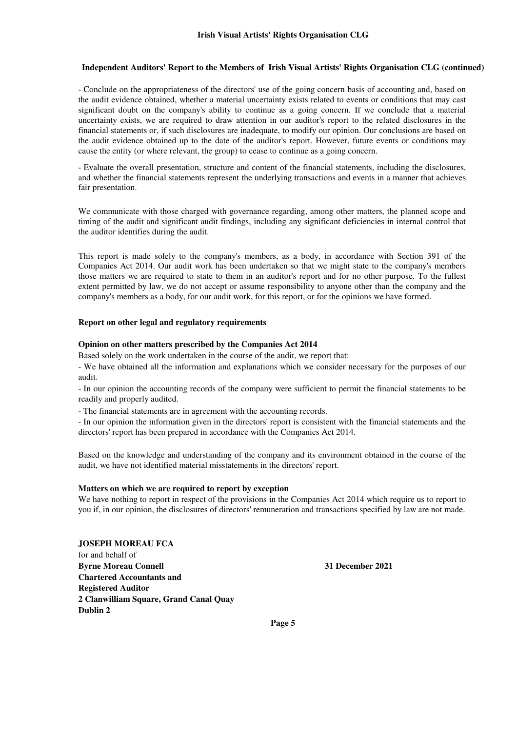## **Independent Auditors' Report to the Members of Irish Visual Artists' Rights Organisation CLG (continued)**

- Conclude on the appropriateness of the directors' use of the going concern basis of accounting and, based on the audit evidence obtained, whether a material uncertainty exists related to events or conditions that may cast significant doubt on the company's ability to continue as a going concern. If we conclude that a material uncertainty exists, we are required to draw attention in our auditor's report to the related disclosures in the financial statements or, if such disclosures are inadequate, to modify our opinion. Our conclusions are based on the audit evidence obtained up to the date of the auditor's report. However, future events or conditions may cause the entity (or where relevant, the group) to cease to continue as a going concern.

- Evaluate the overall presentation, structure and content of the financial statements, including the disclosures, and whether the financial statements represent the underlying transactions and events in a manner that achieves fair presentation.

We communicate with those charged with governance regarding, among other matters, the planned scope and timing of the audit and significant audit findings, including any significant deficiencies in internal control that the auditor identifies during the audit.

This report is made solely to the company's members, as a body, in accordance with Section 391 of the Companies Act 2014. Our audit work has been undertaken so that we might state to the company's members those matters we are required to state to them in an auditor's report and for no other purpose. To the fullest extent permitted by law, we do not accept or assume responsibility to anyone other than the company and the company's members as a body, for our audit work, for this report, or for the opinions we have formed.

#### **Report on other legal and regulatory requirements**

#### **Opinion on other matters prescribed by the Companies Act 2014**

Based solely on the work undertaken in the course of the audit, we report that:

- We have obtained all the information and explanations which we consider necessary for the purposes of our audit.

- In our opinion the accounting records of the company were sufficient to permit the financial statements to be readily and properly audited.

- The financial statements are in agreement with the accounting records.

- In our opinion the information given in the directors' report is consistent with the financial statements and the directors' report has been prepared in accordance with the Companies Act 2014.

Based on the knowledge and understanding of the company and its environment obtained in the course of the audit, we have not identified material misstatements in the directors' report.

#### **Matters on which we are required to report by exception**

We have nothing to report in respect of the provisions in the Companies Act 2014 which require us to report to you if, in our opinion, the disclosures of directors' remuneration and transactions specified by law are not made.

**JOSEPH MOREAU FCA**

for and behalf of **Byrne Moreau Connell 31 December 2021 Chartered Accountants and Registered Auditor 2 Clanwilliam Square, Grand Canal Quay Dublin 2**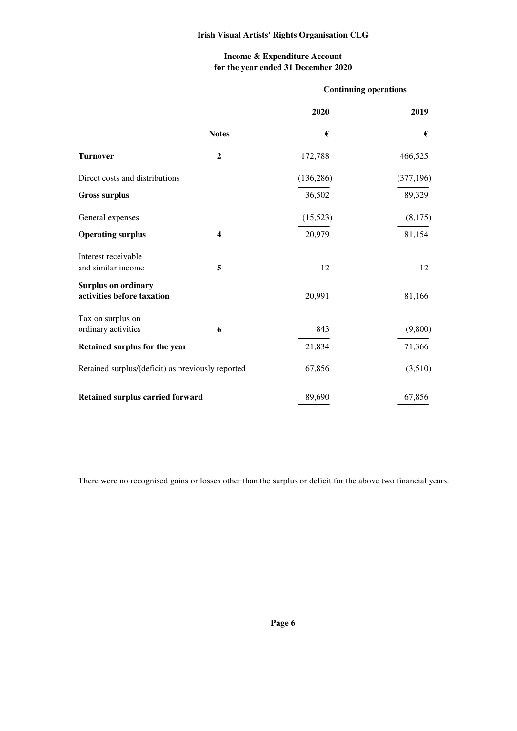## **Income & Expenditure Account for the year ended 31 December 2020**

## **Continuing operations**

|                                                          |                  | 2020       | 2019       |
|----------------------------------------------------------|------------------|------------|------------|
|                                                          | <b>Notes</b>     | €          | €          |
| <b>Turnover</b>                                          | $\boldsymbol{2}$ | 172,788    | 466,525    |
| Direct costs and distributions                           |                  | (136, 286) | (377, 196) |
| <b>Gross surplus</b>                                     |                  | 36,502     | 89,329     |
| General expenses                                         |                  | (15, 523)  | (8,175)    |
| <b>Operating surplus</b>                                 | $\boldsymbol{4}$ | 20,979     | 81,154     |
| Interest receivable<br>and similar income                | 5                | 12         | 12         |
| <b>Surplus on ordinary</b><br>activities before taxation |                  | 20,991     | 81,166     |
| Tax on surplus on<br>ordinary activities                 | 6                | 843        | (9,800)    |
| Retained surplus for the year                            |                  | 21,834     | 71,366     |
| Retained surplus/(deficit) as previously reported        |                  | 67,856     | (3,510)    |
| Retained surplus carried forward                         |                  | 89,690     | 67,856     |

There were no recognised gains or losses other than the surplus or deficit for the above two financial years.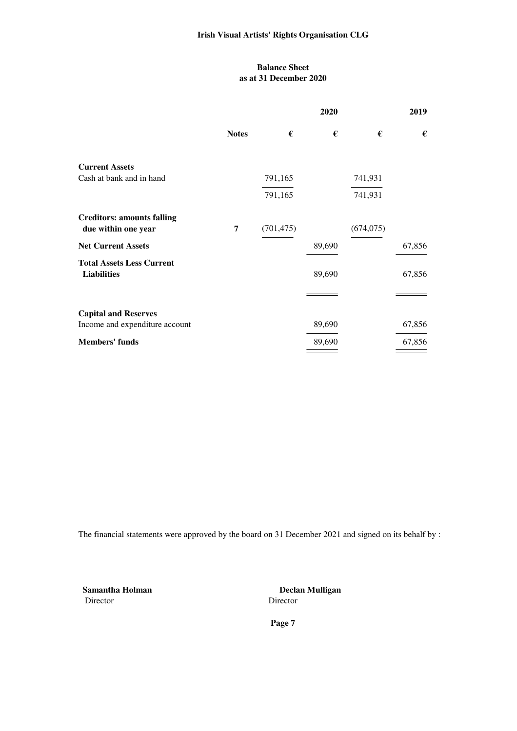# **Balance Sheet as at 31 December 2020**

|                                                          |              |            | 2020   |            | 2019   |
|----------------------------------------------------------|--------------|------------|--------|------------|--------|
|                                                          | <b>Notes</b> | €          | €      | €          | €      |
| <b>Current Assets</b>                                    |              |            |        |            |        |
| Cash at bank and in hand                                 |              | 791,165    |        | 741,931    |        |
|                                                          |              | 791,165    |        | 741,931    |        |
| <b>Creditors: amounts falling</b><br>due within one year | 7            | (701, 475) |        | (674, 075) |        |
| <b>Net Current Assets</b>                                |              |            | 89,690 |            | 67,856 |
| <b>Total Assets Less Current</b><br><b>Liabilities</b>   |              |            | 89,690 |            | 67,856 |
|                                                          |              |            |        |            |        |
| <b>Capital and Reserves</b>                              |              |            |        |            |        |
| Income and expenditure account                           |              |            | 89,690 |            | 67,856 |
| <b>Members' funds</b>                                    |              |            | 89,690 |            | 67,856 |

The financial statements were approved by the board on 31 December 2021 and signed on its behalf by :

Director Director

 **Samantha Holman Declan Mulligan**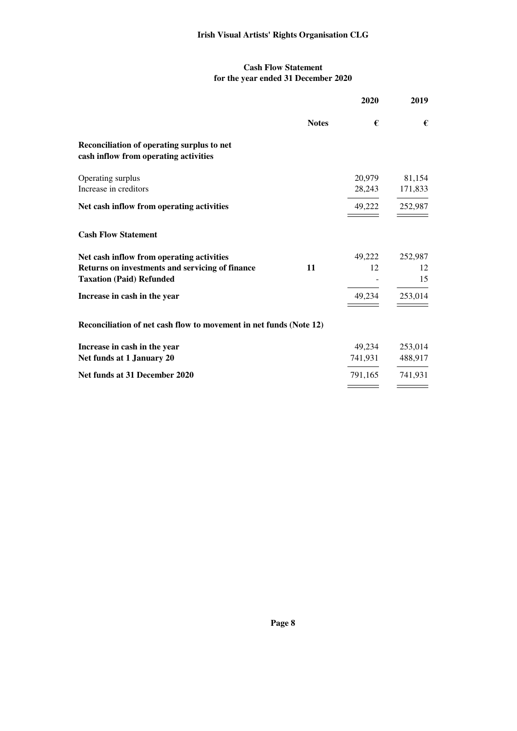# **Cash Flow Statement for the year ended 31 December 2020**

|                                                                                     |              | 2020    | 2019           |
|-------------------------------------------------------------------------------------|--------------|---------|----------------|
|                                                                                     | <b>Notes</b> | €       | €              |
| Reconciliation of operating surplus to net<br>cash inflow from operating activities |              |         |                |
| Operating surplus                                                                   |              | 20,979  | 81,154         |
| Increase in creditors                                                               |              | 28,243  | 171,833        |
| Net cash inflow from operating activities                                           |              |         | 49,222 252,987 |
| <b>Cash Flow Statement</b>                                                          |              |         |                |
| Net cash inflow from operating activities                                           |              | 49,222  | 252,987        |
| Returns on investments and servicing of finance<br><b>Taxation (Paid) Refunded</b>  | 11           | 12      | 12<br>15       |
| Increase in cash in the year                                                        |              | 49,234  | 253,014        |
| Reconciliation of net cash flow to movement in net funds (Note 12)                  |              |         |                |
| Increase in cash in the year                                                        |              | 49,234  | 253,014        |
| Net funds at 1 January 20                                                           |              | 741,931 | 488,917        |
| Net funds at 31 December 2020                                                       |              | 791,165 | 741,931        |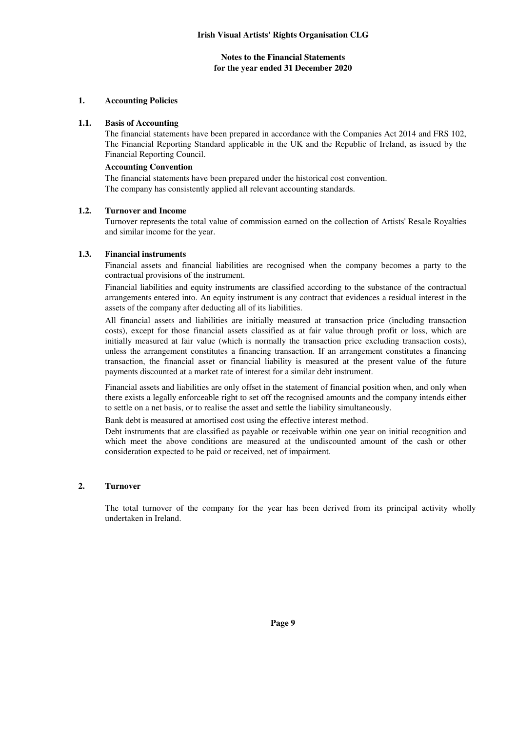## **1. Accounting Policies**

## **1.1. Basis of Accounting**

The financial statements have been prepared in accordance with the Companies Act 2014 and FRS 102, The Financial Reporting Standard applicable in the UK and the Republic of Ireland, as issued by the Financial Reporting Council.

## **Accounting Convention**

The financial statements have been prepared under the historical cost convention. The company has consistently applied all relevant accounting standards.

### **1.2. Turnover and Income**

Turnover represents the total value of commission earned on the collection of Artists' Resale Royalties and similar income for the year.

### **1.3. Financial instruments**

Financial assets and financial liabilities are recognised when the company becomes a party to the contractual provisions of the instrument.

Financial liabilities and equity instruments are classified according to the substance of the contractual arrangements entered into. An equity instrument is any contract that evidences a residual interest in the assets of the company after deducting all of its liabilities.

All financial assets and liabilities are initially measured at transaction price (including transaction costs), except for those financial assets classified as at fair value through profit or loss, which are initially measured at fair value (which is normally the transaction price excluding transaction costs), unless the arrangement constitutes a financing transaction. If an arrangement constitutes a financing transaction, the financial asset or financial liability is measured at the present value of the future payments discounted at a market rate of interest for a similar debt instrument.

Financial assets and liabilities are only offset in the statement of financial position when, and only when there exists a legally enforceable right to set off the recognised amounts and the company intends either to settle on a net basis, or to realise the asset and settle the liability simultaneously.

Bank debt is measured at amortised cost using the effective interest method.

Debt instruments that are classified as payable or receivable within one year on initial recognition and which meet the above conditions are measured at the undiscounted amount of the cash or other consideration expected to be paid or received, net of impairment.

## **2. Turnover**

The total turnover of the company for the year has been derived from its principal activity wholly undertaken in Ireland.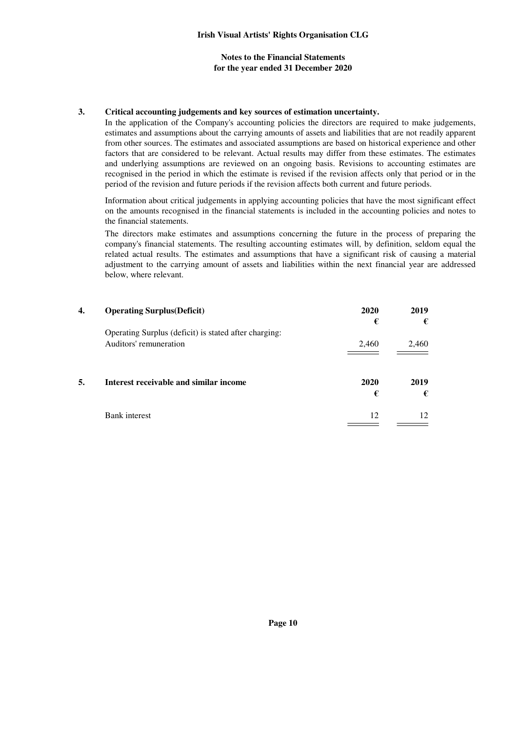## **3. Critical accounting judgements and key sources of estimation uncertainty.**

In the application of the Company's accounting policies the directors are required to make judgements, estimates and assumptions about the carrying amounts of assets and liabilities that are not readily apparent from other sources. The estimates and associated assumptions are based on historical experience and other factors that are considered to be relevant. Actual results may differ from these estimates. The estimates and underlying assumptions are reviewed on an ongoing basis. Revisions to accounting estimates are recognised in the period in which the estimate is revised if the revision affects only that period or in the period of the revision and future periods if the revision affects both current and future periods.

Information about critical judgements in applying accounting policies that have the most significant effect on the amounts recognised in the financial statements is included in the accounting policies and notes to the financial statements.

The directors make estimates and assumptions concerning the future in the process of preparing the company's financial statements. The resulting accounting estimates will, by definition, seldom equal the related actual results. The estimates and assumptions that have a significant risk of causing a material adjustment to the carrying amount of assets and liabilities within the next financial year are addressed below, where relevant.

| <b>Operating Surplus (Deficit)</b>                    | 2020  | 2019  |
|-------------------------------------------------------|-------|-------|
|                                                       | €     | €     |
| Operating Surplus (deficit) is stated after charging: |       |       |
| Auditors' remuneration                                | 2,460 | 2,460 |
|                                                       |       |       |
| Interest receivable and similar income                | 2020  | 2019  |
|                                                       | €     | €     |
| <b>Bank</b> interest                                  | 12    | 12    |
|                                                       |       |       |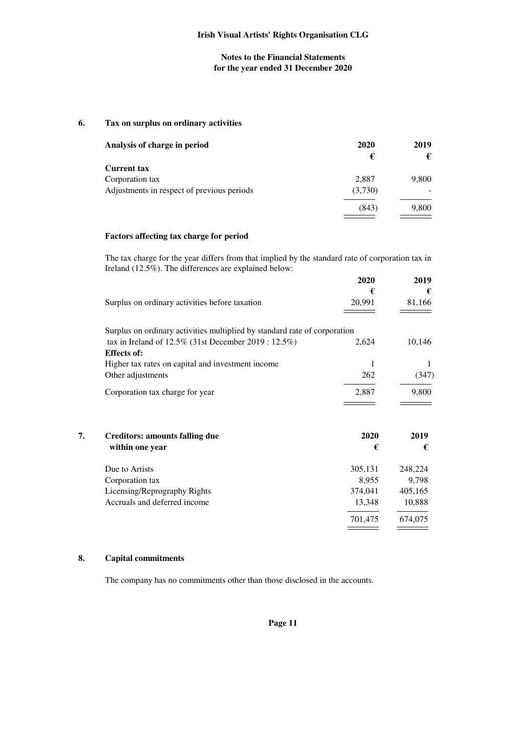## **6. Tax on surplus on ordinary activities**

| Analysis of charge in period               | 2020    | 2019  |
|--------------------------------------------|---------|-------|
|                                            | €       | €     |
| <b>Current tax</b>                         |         |       |
| Corporation tax                            | 2,887   | 9,800 |
| Adjustments in respect of previous periods | (3,730) |       |
|                                            | (843)   | 9,800 |
|                                            |         |       |

## **Factors affecting tax charge for period**

The tax charge for the year differs from that implied by the standard rate of corporation tax in Ireland (12.5%). The differences are explained below:

|                                                                           | 2020    | 2019    |
|---------------------------------------------------------------------------|---------|---------|
|                                                                           | €       | €       |
| Surplus on ordinary activities before taxation                            | 20,991  | 81,166  |
| Surplus on ordinary activities multiplied by standard rate of corporation |         |         |
| tax in Ireland of $12.5\%$ (31st December 2019 : 12.5%)                   | 2,624   | 10,146  |
| <b>Effects of:</b>                                                        |         |         |
| Higher tax rates on capital and investment income                         | 1       | 1       |
| Other adjustments                                                         | 262     | (347)   |
| Corporation tax charge for year                                           | 2,887   | 9,800   |
|                                                                           |         |         |
| 7.<br><b>Creditors: amounts falling due</b>                               | 2020    | 2019    |
| within one year                                                           | €       | €       |
| Due to Artists                                                            | 305,131 | 248,224 |
| Corporation tax                                                           | 8,955   | 9,798   |
| Licensing/Reprography Rights                                              | 374,041 | 405,165 |
| Accruals and deferred income                                              | 13,348  | 10,888  |
|                                                                           | 701,475 | 674,075 |

# **8. Capital commitments**

The company has no commitments other than those disclosed in the accounts.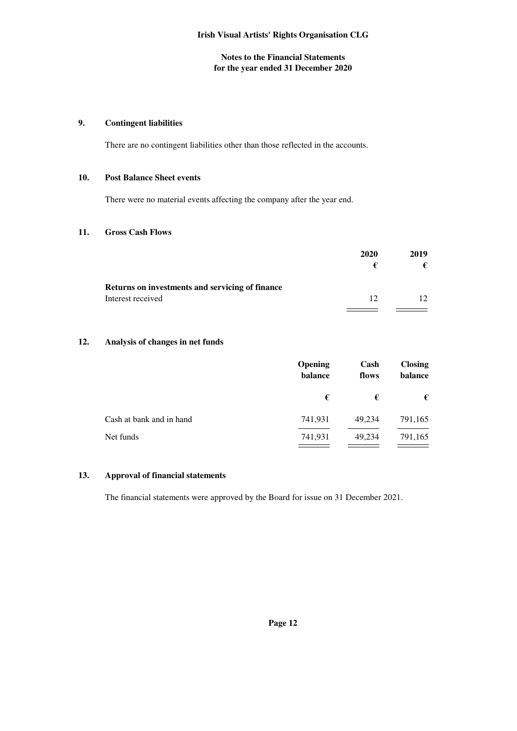## **9. Contingent liabilities**

There are no contingent liabilities other than those reflected in the accounts.

## **10. Post Balance Sheet events**

There were no material events affecting the company after the year end.

## **11. Gross Cash Flows**

|                                                        | 2020 | 2019 |
|--------------------------------------------------------|------|------|
|                                                        | €    |      |
| <b>Returns on investments and servicing of finance</b> |      |      |
| Interest received                                      | 12   |      |
|                                                        |      |      |

## **12. Analysis of changes in net funds**

|                          | <b>Opening</b><br>balance | Cash<br>flows | <b>Closing</b><br>balance |  |
|--------------------------|---------------------------|---------------|---------------------------|--|
|                          | €                         | €             | €                         |  |
| Cash at bank and in hand | 741,931                   | 49,234        | 791,165                   |  |
| Net funds                | 741,931                   | 49,234        | 791,165                   |  |

## **13. Approval of financial statements**

The financial statements were approved by the Board for issue on 31 December 2021.